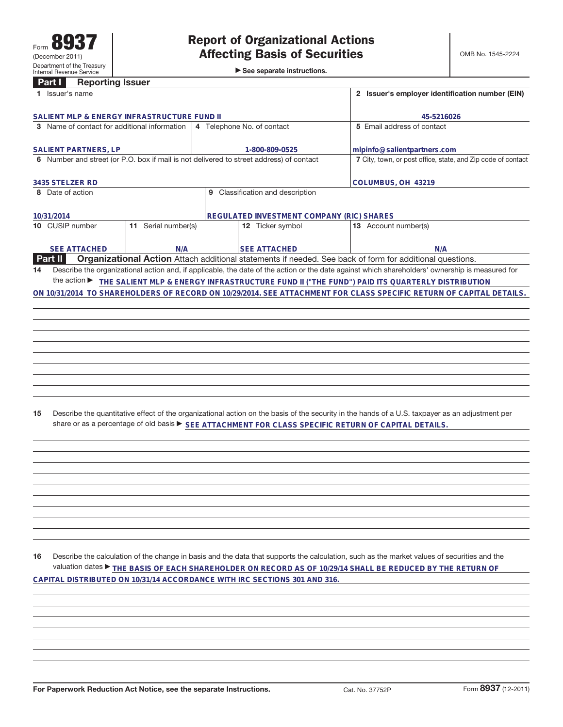|                                                                                                      | <b>Reporting Issuer</b><br>Part I                                                       |                     |                                                              |                                           |                                                                                                                                                 |  |  |
|------------------------------------------------------------------------------------------------------|-----------------------------------------------------------------------------------------|---------------------|--------------------------------------------------------------|-------------------------------------------|-------------------------------------------------------------------------------------------------------------------------------------------------|--|--|
|                                                                                                      | 1 Issuer's name                                                                         |                     | 2 Issuer's employer identification number (EIN)              |                                           |                                                                                                                                                 |  |  |
|                                                                                                      | SALIENT MLP & ENERGY INFRASTRUCTURE FUND II                                             |                     | 45-5216026                                                   |                                           |                                                                                                                                                 |  |  |
| 3 Name of contact for additional information                                                         |                                                                                         |                     |                                                              | 4 Telephone No. of contact                | 5 Email address of contact                                                                                                                      |  |  |
|                                                                                                      | <b>SALIENT PARTNERS, LP</b>                                                             |                     |                                                              | 1-800-809-0525                            | mlpinfo@salientpartners.com                                                                                                                     |  |  |
|                                                                                                      | 6 Number and street (or P.O. box if mail is not delivered to street address) of contact |                     | 7 City, town, or post office, state, and Zip code of contact |                                           |                                                                                                                                                 |  |  |
|                                                                                                      |                                                                                         |                     |                                                              |                                           |                                                                                                                                                 |  |  |
|                                                                                                      | 3435 STELZER RD                                                                         |                     |                                                              |                                           | COLUMBUS, OH 43219                                                                                                                              |  |  |
|                                                                                                      | 8 Date of action                                                                        |                     |                                                              | 9 Classification and description          |                                                                                                                                                 |  |  |
|                                                                                                      |                                                                                         |                     |                                                              |                                           |                                                                                                                                                 |  |  |
|                                                                                                      | 10/31/2014                                                                              |                     |                                                              | REGULATED INVESTMENT COMPANY (RIC) SHARES |                                                                                                                                                 |  |  |
|                                                                                                      | 10 CUSIP number                                                                         | 11 Serial number(s) |                                                              | 12 Ticker symbol                          | 13 Account number(s)                                                                                                                            |  |  |
|                                                                                                      |                                                                                         |                     |                                                              |                                           |                                                                                                                                                 |  |  |
|                                                                                                      | <b>SEE ATTACHED</b>                                                                     | N/A                 |                                                              | <b>SEE ATTACHED</b>                       | N/A                                                                                                                                             |  |  |
|                                                                                                      | <b>Part II</b>                                                                          |                     |                                                              |                                           | Organizational Action Attach additional statements if needed. See back of form for additional questions.                                        |  |  |
| 14                                                                                                   |                                                                                         |                     |                                                              |                                           | Describe the organizational action and, if applicable, the date of the action or the date against which shareholders' ownership is measured for |  |  |
|                                                                                                      | the action $\blacktriangleright$                                                        |                     |                                                              |                                           | THE SALIENT MLP & ENERGY INFRASTRUCTURE FUND II ("THE FUND") PAID ITS QUARTERLY DISTRIBUTION                                                    |  |  |
|                                                                                                      |                                                                                         |                     |                                                              |                                           | ON 10/31/2014 TO SHAREHOLDERS OF RECORD ON 10/29/2014. SEE ATTACHMENT FOR CLASS SPECIFIC RETURN OF CAPITAL DETAILS.                             |  |  |
|                                                                                                      |                                                                                         |                     |                                                              |                                           |                                                                                                                                                 |  |  |
|                                                                                                      |                                                                                         |                     |                                                              |                                           |                                                                                                                                                 |  |  |
|                                                                                                      |                                                                                         |                     |                                                              |                                           |                                                                                                                                                 |  |  |
|                                                                                                      |                                                                                         |                     |                                                              |                                           |                                                                                                                                                 |  |  |
|                                                                                                      |                                                                                         |                     |                                                              |                                           |                                                                                                                                                 |  |  |
|                                                                                                      |                                                                                         |                     |                                                              |                                           |                                                                                                                                                 |  |  |
|                                                                                                      |                                                                                         |                     |                                                              |                                           |                                                                                                                                                 |  |  |
|                                                                                                      |                                                                                         |                     |                                                              |                                           |                                                                                                                                                 |  |  |
|                                                                                                      |                                                                                         |                     |                                                              |                                           |                                                                                                                                                 |  |  |
|                                                                                                      |                                                                                         |                     |                                                              |                                           |                                                                                                                                                 |  |  |
|                                                                                                      |                                                                                         |                     |                                                              |                                           |                                                                                                                                                 |  |  |
| 15                                                                                                   |                                                                                         |                     |                                                              |                                           | Describe the quantitative effect of the organizational action on the basis of the security in the hands of a U.S. taxpayer as an adjustment per |  |  |
| share or as a percentage of old basis ▶ SEE ATTACHMENT FOR CLASS SPECIFIC RETURN OF CAPITAL DETAILS. |                                                                                         |                     |                                                              |                                           |                                                                                                                                                 |  |  |
|                                                                                                      |                                                                                         |                     |                                                              |                                           |                                                                                                                                                 |  |  |
|                                                                                                      |                                                                                         |                     |                                                              |                                           |                                                                                                                                                 |  |  |
|                                                                                                      |                                                                                         |                     |                                                              |                                           |                                                                                                                                                 |  |  |
|                                                                                                      |                                                                                         |                     |                                                              |                                           |                                                                                                                                                 |  |  |
|                                                                                                      |                                                                                         |                     |                                                              |                                           |                                                                                                                                                 |  |  |
|                                                                                                      |                                                                                         |                     |                                                              |                                           |                                                                                                                                                 |  |  |

**16** Describe the calculation of the change in basis and the data that supports the calculation, such as the market values of securities and the valuation dates ▶ THE BASIS OF EACH SHAREHOLDER ON RECORD AS OF 10/29/14 SHALL BE REDUCED BY THE RETURN OF **CAPITAL DISTRIBUTED ON 10/31/14 ACCORDANCE WITH IRC SECTIONS 301 AND 316.**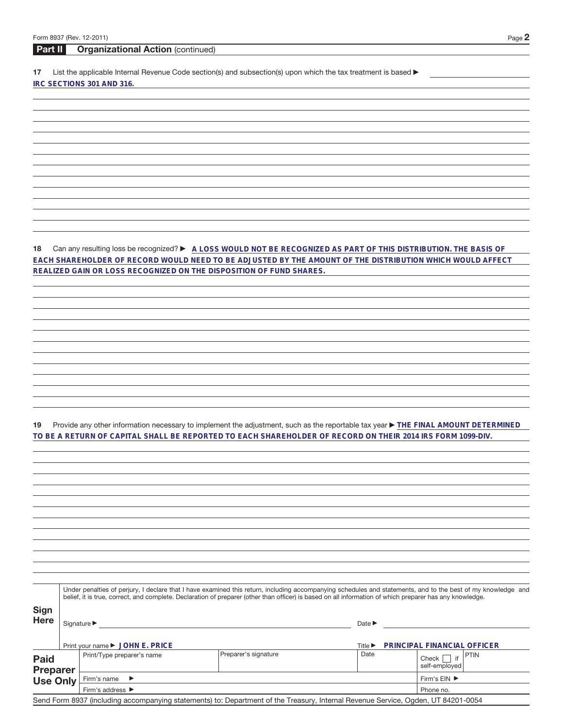## **Part II Organizational Action** (continued)

17 List the applicable Internal Revenue Code section(s) and subsection(s) upon which the tax treatment is based  $\blacktriangleright$ **IRC SECTIONS 301 AND 316.**

18 Can any resulting loss be recognized?  $\blacktriangleright$  A LOSS WOULD NOT BE RECOGNIZED AS PART OF THIS DISTRIBUTION. THE BASIS OF **EACH SHAREHOLDER OF RECORD WOULD NEED TO BE ADJUSTED BY THE AMOUNT OF THE DISTRIBUTION WHICH WOULD AFFECT REALIZED GAIN OR LOSS RECOGNIZED ON THE DISPOSITION OF FUND SHARES.**

19 Provide any other information necessary to implement the adjustment, such as the reportable tax year **FILE FINAL AMOUNT DETERMINED TO BE A RETURN OF CAPITAL SHALL BE REPORTED TO EACH SHAREHOLDER OF RECORD ON THEIR 2014 IRS FORM 1099-DIV.**

|                                                   | Under penalties of perjury, I declare that I have examined this return, including accompanying schedules and statements, and to the best of my knowledge and<br>belief, it is true, correct, and complete. Declaration of preparer (other than officer) is based on all information of which preparer has any knowledge. |                                      |                                                                                                                                   |                             |                                       |  |  |  |
|---------------------------------------------------|--------------------------------------------------------------------------------------------------------------------------------------------------------------------------------------------------------------------------------------------------------------------------------------------------------------------------|--------------------------------------|-----------------------------------------------------------------------------------------------------------------------------------|-----------------------------|---------------------------------------|--|--|--|
| <b>Sign</b><br><b>Here</b>                        |                                                                                                                                                                                                                                                                                                                          | Signature $\blacktriangleright$      |                                                                                                                                   | Date $\blacktriangleright$  |                                       |  |  |  |
|                                                   |                                                                                                                                                                                                                                                                                                                          | Print your name ▶ JOHN E. PRICE      |                                                                                                                                   | Title $\blacktriangleright$ | PRINCIPAL FINANCIAL OFFICER           |  |  |  |
| <b>Paid</b><br><b>Preparer</b><br><b>Use Only</b> |                                                                                                                                                                                                                                                                                                                          | Print/Type preparer's name           | Preparer's signature                                                                                                              | Date                        | <b>PTIN</b><br>Check<br>self-employed |  |  |  |
|                                                   |                                                                                                                                                                                                                                                                                                                          | Firm's name $\blacktriangleright$    | Firm's $EIN$ $\blacktriangleright$                                                                                                |                             |                                       |  |  |  |
|                                                   |                                                                                                                                                                                                                                                                                                                          | Firm's address $\blacktriangleright$ | Phone no.                                                                                                                         |                             |                                       |  |  |  |
|                                                   |                                                                                                                                                                                                                                                                                                                          |                                      | Send Form 8937 (including accompanying statements) to: Department of the Treasury, Internal Revenue Service, Ogden, UT 84201-0054 |                             |                                       |  |  |  |